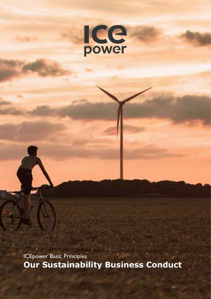

ICEpower Basic Principles **Our Sustainability Business Conduct**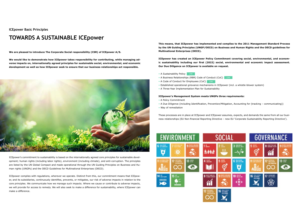**ICEpower Basic Principles**

# **TOWARDS A SUSTAINABLE ICEpower**

**We are pleased to introduce The Corporate Social responsibility (CSR) of ICEpower A/S.**

**We would like to demonstrate how ICEpower takes responsibility for contributing, while managing adverse impacts on, internationally agreed principles for sustainable social, environmental, and economic development as well as how ICEpower seek to ensure that our business relationships act responsible.**



ICEpower's commitment to sustainability is based on the internationally agreed core principles for sustainable development; human rights (including labor rights), environment (including climate), and anti-corruption. The principles are listed by the UN Global Compact and made operational through the UN Guiding Principles on Business and Human rights (UNGPs) and the OECD Guidelines for Multinational Enterprises (OECD).

- A Sustainability Policy | [LINK](https://icepoweraudio.com/sustainability-policy/)
- A Business Relationships (RBR) Code of Conduct (CoC) [LINK](https://icepoweraudio.com/code-of-conduct-for-business-relationship/)
- A Code of Conduct for Employees (CoC) [LINK](https://icepoweraudio.com/code-of-conduct-for-employees/)
- Established operational grievance mechanisms in ICEpower (incl. a whistle-blower system)
- A Three-Year Implementation Plan for Sustainability

ICEpower complies with regulations, wherever we operate. Distinct from this, our commitment means that ICEpower, and its subsidiaries, continuously identifies, prevents, or mitigates, our risk of adverse impacts in relation to the core principles. We communicate how we manage such impacts. Where we cause or contribute to adverse impacts, we will provide for access to remedy. We will also seek to make a difference for sustainability, where ICEpower can make a difference.

**This means, that ICEpower has implemented and complies to the 2011 Management Standard Process by the UN Guiding Principles (UNGP/OECD) on Business and Human Rights and the OECD guidelines for Multinational Enterprises (OECD).**

**ICEpower has created an ICEpower Policy Commitment covering social, environmental, and economic sustainability including our first (2022) social, environmental and economic impact assessment. Our Due Diligence on ICEpower is available on request.**

#### **ICEpower's Management System meets UNGPs three requirements:**

- A Policy Commitment
- A Due Diligence (including Identification, Prevention/Mitigation, Accounting for (tracking communicating))
- Way of remediation

These processes are in place at ICEpower and ICEpower assumes, expects, and demands the same from all our business relationships (EU Non-financial Reporting Directive – new EU 'Corporate Sustainability Reporting Directive').

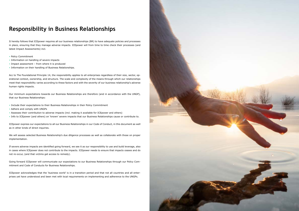### **Responsibility in Business Relationships**

It hereby follows that ICEpower requires all our business relationships (BR) to have adequate policies and processes in place, ensuring that they manage adverse impacts. ICEpower will from time to time check their processes (and latest Impact Assessments) incl.

- Policy Commitment
- Information on handling of severe impacts
- Impact assessment from where it is produced
- Information on their handling of Business Relationships.

Acc to The Foundational Principle 14, the responsibility applies to all enterprises regardless of their size, sector, operational context, ownership, and structure. The scale and complexity of the means through which our relationships meet that responsibility varies according to these factors and with the severity of our business relationship's adverse human rights impacts.

Our minimum expectations towards our Business Relationships are therefore (and in accordance with the UNGP), that our Business Relationships:

- Include their expectations to their Business Relationships in their Policy Commitment
- Adhere and comply with UNGPs
- Assesses their contribution to adverse impacts (incl. making it available for ICEpower and others)
- Info to ICEpower (and others) on 'known' severe impacts that our Business Relationships cause or contribute to.

ICEpower express our expectations to all our Business Relationships in our Code of Conduct, in this document as well as in other kinds of direct inquiries.

We will assess selected Business Relationship's due diligence processes as well as collaborate with those on proper implementation.

If severe adverse impacts are identified going forward, we see it as our responsibility to use and build leverage, also in cases where ICEpower does not contribute to the impacts. ICEpower needs to ensure that impacts ceases and do not re-occur, (and that victims get access to remedy).

Going forward ICEpower will communicate our expectations to our Business Relationships through our Policy Commitment and Code of Conducts for Business Relationships.

ICEpower acknowledges that the 'business world' is in a transition period and that not all countries and all enterprises yet have understood and been met with local requirements on implementing and adherence to the UNGPs.

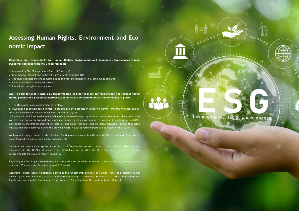# **Assessing Human Rights, Environment and Economic Impact**

**Regarding our responsibility for Human Rights, Environment and Economic (Governance) Impact ICEpower complies with the 5 requirements:**

- 1. Approved by Top Management (Board of Directors)
- 2. Informed by relevant and sufficient human rights expertise (QA)
- 3. The HuRi expectations are stipulated to all relevant stakeholders (incl. employees and BR)
- 4. Publicly available at www.icepower.dk
- 5. Embedded throughout our business

**Acc. To Foundational Principle 15 ICEpower has, in order to meet our responsibility to respect human rights, policies and processes appropriate to our size and circumstances, the following in place:**

a) The ICEpower policy commitment is in place.

We have not engaged impacted stakeholders. Sharing our assessments with such stakeholders as part of the process going forward will ensure meaningful engagement.

b) ICEpower has established a human rights due diligence process in which we identify, prevent, mitigate, and account for how we address our impacts on human rights; and

c) A process in which we enable remediation of any adverse human rights impact we cause or to which we contribute. We have not previously tracked and managed human rights / environment / corruption impacts (prior to 2022). Consequently, the first assessment will note all impacts as 'Potential' impacts, notwithstanding the fact that actual impacts may have occurred during the previous years. Actual adverse impacts will be noted for the future.

Similarly, we have not yet applied expectations of responsible business conduct to our business relationships in alignment with the UNGPs. We expect that establishing such practice with time will enable us to better identify severe impacts that we are merely 'linked to'.

Regarding our first impact assessment, we have evaluated ourselves in relation to Human Rights (48 areas), Environment (20 areas), and Economic impact (16 areas).

Regarding Human Rights we strongly adhere to the fundamental principle on Human Rights as protecting human beings against discrimination, violence, and hatred involving discrimination. However, and at the same time Human Rights does not stipulate that human beings (minority/majority) have the right not to be offended.



 $000000$ 

 $\circ \circ \circ \circ$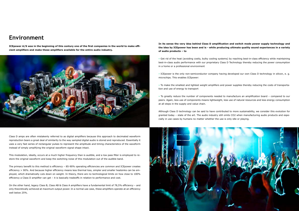## **Environment**

**ICEpower A/S was in the beginning of this century one of the first companies in the world to make efficient amplifiers and make these amplifiers available for the entire audio industry.**



Class D amps are often mistakenly referred to as digital amplifiers because this approach to decimated waveform reproduction bears a great deal of similarity to the way sampled digital audio is stored and reproduced. Essentially it uses a very fast series of rectangular pulses to represent the amplitude and timing characteristics of the waveform instead of simply amplifying the original waveform signal shape intact.

This modulation, ideally, occurs at a much higher frequency than is audible, and a low pass filter is employed to restore the original waveform and keep the switching noise of this modulation out of the audible band.

The primary benefit to this method is efficiency – 85-90% operating efficiencies are common and ICEpower creates efficiency > 90%. And because higher efficiency means less thermal loss, simpler and smaller heatsinks can be employed, which dramatically cuts down on weight. In theory, there are no technological limits on how close to 100% efficiency a Class D amplifier can get – it is basically tradeoffs in relation to performance and cost.

On the other hand, legacy Class B, Class AB & Class A amplifiers have a fundamental limit of 78,5% efficiency – and only theoretically achieved at maximum output power. In a normal use case, these amplifiers operate at an efficiency well below 25%.

# **In its sense the very idea behind Class D amplification and switch mode power supply technology and**

**the idea by ICEpower has been and is - while producing ultimate quality sound experiences in a variety of audio products – to**

• Get rid of the heat (avoiding costly, bulky cooling systems) by reaching best-in-class efficiency while maintaining best-in-class audio performance with our proprietary Class D Technology thereby reducing the power consumption in a home or a professional environment

• ICEpower is the only non-semiconductor company having developed our own Class D technology in silicon, e. g. microchips. This enables ICEpower:

• To make the smallest and lightest weight amplifiers and power supplies thereby reducing the costs of transportation and use of energy to transport

• To greatly reduce the number of components needed to manufacture an amplification board – compared to our peers. Again, less use of components means lightweight, less use of natural resources and less energy consumption at all steps in the supply and value chain.

Although Class D technology can be said to have contributed to more sustainability, we consider this evolution for granted today – state of the art. The audio industry still omits CO2 when manufacturing audio products and especially in use cases by humans no matter whether the use is only idle or playing.

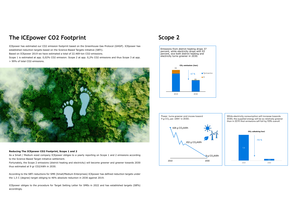## **The ICEpower CO2 Footprint**

ICEpower has estimated our CO2 emission footprint based on the Greenhouse Gas Protocol (GHGP). ICEpower has established reduction targets based on the Science-Based Targets initiative (SBTi). Based on ICEpower 2019 we have estimated a total of 22.469-ton CO2-emissions.  $c^{32}$ 

Scope 1 is estimated at app. 0,02% CO2 emission. Scope 2 at app. 0,2% CO2 emissions and thus Scope 3 at app. > 99% of total CO2-emissions.

### **Reducing The ICEpower CO2 Footprint, Scope 1 and 2**

As a Small / Medium sized company ICEpower obliges to a yearly reporting on Scope 1 and 2 emissions according to the Science-Based Target initiative settlement.

Fortunately, the Scope 2 emissions (district heating and electricity) will become greener and greener towards 2030 thus estimated at 9 gr CO2/kWh in 2030.

According to the SBTi reductions for SME (Small/Medium Enterprises) ICEpower has defined reduction targets under the 1,5 C (degree) target obliging to 46% absolute reduction in 2030 against 2019.

ICEpower obliges to the procedure for Target Setting Letter for SMEs in 2022 and has established targets (SBTs) accordingly.









### **Scope 2**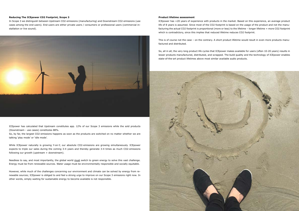#### **Reducing The ICEpower CO2 Footprint, Scope 3**

In Scope 3 we distinguish between Upstream CO2-emissions (manufacturing) and Downstream CO2-emissions (use cases among the end-users). End-users are either private users / consumers or professional users (commercial installation or live sound).



While ICEpower naturally is growing Y-on-Y, our absolute CO2-emissions are growing simultaneously. ICEpower expects to triple our sales during the coming 3-4 years and thereby generate 3-4 times as much CO2-emissions following our growth (upstream + downstream).

ICEpower has calculated that Upstream constitutes app. 12% of our Scope 3 emissions while the sold products (Downstream - use cases) constitutes 88%.

So, by far, the largest CO2-emissions happens as soon as the products are switched on no matter whether we are talking 'play mode' or 'idle mode'.

Needless to say, and most importantly, the global world must switch to green energy to solve this vast challenge. Energy must be from renewable sources. Water usage must be environmentally responsible and socially equitable.

This is of course not the case – on the contrary. A short product lifetime would result in even more products manufactured and distributed.

However, while much of the challenges concerning our environment and climate can be solved by energy from renewable sources; ICEpower is obliged to and feel a strong urge to improve on our Scope 3 emissions right now. In other words, simply waiting for sustainable energy to become available is not responsible.

#### **Product lifetime assessment**

ICEpower has +20 years of experience with products in the market. Based on this experience, an average product life of 8 years is assumed. Since most of the CO2 footprint is based on the usage of the product and not the manufacturing the actual CO2 footprint is proportional (more or less) to the lifetime – longer lifetime = more CO2 footprint which is contradictory, since this implies that reduced lifetime reduces CO2 footprint.

So, all in all, the very long product life cycles that ICEpower makes available for users (often 10-20 years) results in lesser products manufactured, distributed, and scrapped. The build quality and the technology of ICEpower enables state-of-the-art product lifetimes above most similar available audio products.

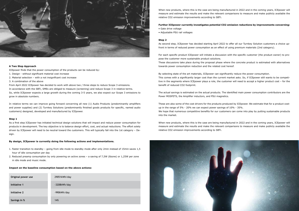

### **A Two Step Approach**

ICEpower finds that the power consumption of the products can be reduced by:

- 1. Design without significant material cost increase
- 2. Material selection with a not insignificant cost increase
- 3. A combination of the above

From April 2022 ICEpower has decided to work with above two / three steps to reduce Scope 3 emissions. In accordance with the SBTi, SMEs are obliged to measure (screening) and reduce Scope 3 in relative terms. So, while ICEpower expects a large growth during the coming 3-5 years, we also expect our Scope 3 emissions to grow in absolute numbers.

In relative terms we can improve going forward concerning all new (1) Audio Products (predominantly amplifiers and power supplies) and (2) Turnkey Solutions (predominantly finished goods products for specific, named audio customers) designed, developed and manufactured by ICEpower.

### **Step 1**

When new products, where this is the case are being manufactured in 2022 and in the coming years, ICEpower will measure and estimate the results and make the relevant comparisons to measure and make publicly available the relative CO2 emission improvements according to SBTi.

As a first step ICEpower has initiated technical design solutions that will impact and reduce power consumption for products in development. The key objective is to balance design effort, cost, and actual reductions. The effort solely driven by ICEpower will need to be neutral toward the customers. This will typically fall into the 1st category – Design.

#### **By design, ICEpower is currently doing the following actions and implementations.**

- 1. Faster transition to standby going from idle mode to standby mode after only 2min instead of 15min saves 1,5 hour of idle consumption per day
- 2. Reduced preamp consumption by only powering on active zones a saving of 7,5W (8zone) or 1,25W per zone in idle mode and music mode.

#### **Impact on the baseline consumption based on the above actions:**

### **Further ICEpower currently investigates potential CO2 emission reductions by improvements concerning:**

- Gate drive voltage
- Adjustable PSU rail voltages

#### **Step 2**

As second step, ICEpower has decided starting April 2022 to offer all our Turnkey Solution customers a choice upfront in terms of reduced power consumption as an effect of using premium materials (2nd category).

For each specific product ICEpower will initiate a discussion with the specific customer (the product owner) to propose the customer more sustainable product solutions. These discussions take place during the proposal phase where the concrete product is estimated with alternatives towards power consumption reduction and the related cost hereof.

By selecting state of the art materials, ICEpower can significantly reduce the power consumption. This comes with a significantly larger cost than the current market asks. So, if ICEpower still wants to be competitive in the segments where ICEpower plays a role, the customer will need to accept a higher product cost – for the benefit of reduced CO2 footprint.

The actual savings is estimated on the actual products. The identified main power consumption contributors are the Power MOSFETS, the Amplifier inductors, and PSU magnetics.

These are also some of the cost drivers for the products produced by ICEpower. We estimate that for a product costup in the range of 5% - 20% we can expect power savings of 10% - 35%. We hope that numerous competitive benefits for our customers can come into play by putting sustainable products into the market.

When new products, where this is the case are being manufactured in 2022 and in the coming years, ICEpower will measure and estimate the results and make the relevant comparisons to measure and make publicly available the relative CO2 emission improvements according to SBTi.



| Original power use | 29051kWh/day |
|--------------------|--------------|
| Initiative 1       | -3208kWh/day |
| Initiative 2       | -990kWh/day  |
| Savings in %       | 14%          |